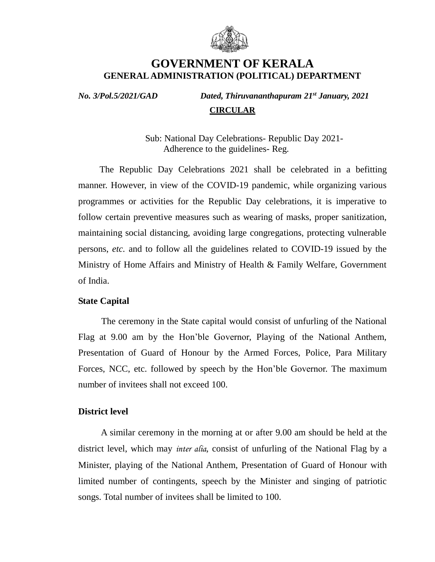

# **GOVERNMENT OF KERALA GENERAL ADMINISTRATION (POLITICAL) DEPARTMENT**

*No. 3/Pol.5/2021/GAD Dated, Thiruvananthapuram 21st January, 2021*  **CIRCULAR**

> Sub: National Day Celebrations- Republic Day 2021- Adherence to the guidelines- Reg.

 The Republic Day Celebrations 2021 shall be celebrated in a befitting manner. However, in view of the COVID-19 pandemic, while organizing various programmes or activities for the Republic Day celebrations, it is imperative to follow certain preventive measures such as wearing of masks, proper sanitization, maintaining social distancing, avoiding large congregations, protecting vulnerable persons, *etc.* and to follow all the guidelines related to COVID-19 issued by the Ministry of Home Affairs and Ministry of Health & Family Welfare, Government of India.

## **State Capital**

 The ceremony in the State capital would consist of unfurling of the National Flag at 9.00 am by the Hon'ble Governor, Playing of the National Anthem, Presentation of Guard of Honour by the Armed Forces, Police, Para Military Forces, NCC, etc. followed by speech by the Hon'ble Governor. The maximum number of invitees shall not exceed 100.

## **District level**

 A similar ceremony in the morning at or after 9.00 am should be held at the district level, which may *inter alia,* consist of unfurling of the National Flag by a Minister, playing of the National Anthem, Presentation of Guard of Honour with limited number of contingents, speech by the Minister and singing of patriotic songs. Total number of invitees shall be limited to 100.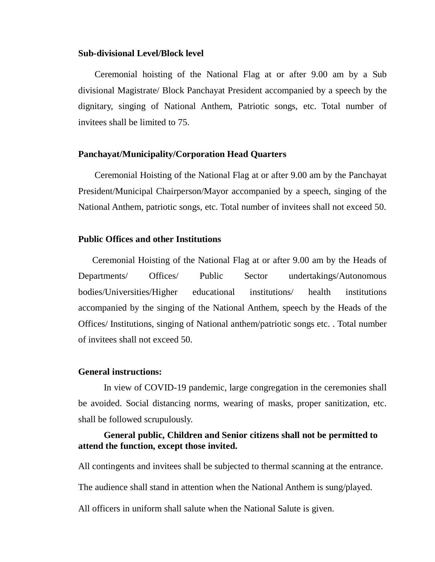#### **Sub-divisional Level/Block level**

 Ceremonial hoisting of the National Flag at or after 9.00 am by a Sub divisional Magistrate/ Block Panchayat President accompanied by a speech by the dignitary, singing of National Anthem, Patriotic songs, etc. Total number of invitees shall be limited to 75.

### **Panchayat/Municipality/Corporation Head Quarters**

 Ceremonial Hoisting of the National Flag at or after 9.00 am by the Panchayat President/Municipal Chairperson/Mayor accompanied by a speech, singing of the National Anthem, patriotic songs, etc. Total number of invitees shall not exceed 50.

### **Public Offices and other Institutions**

 Ceremonial Hoisting of the National Flag at or after 9.00 am by the Heads of Departments/ Offices/ Public Sector undertakings/Autonomous bodies/Universities/Higher educational institutions/ health institutions accompanied by the singing of the National Anthem, speech by the Heads of the Offices/ Institutions, singing of National anthem/patriotic songs etc. . Total number of invitees shall not exceed 50.

#### **General instructions:**

In view of COVID-19 pandemic, large congregation in the ceremonies shall be avoided. Social distancing norms, wearing of masks, proper sanitization, etc. shall be followed scrupulously.

# **General public, Children and Senior citizens shall not be permitted to attend the function, except those invited.**

All contingents and invitees shall be subjected to thermal scanning at the entrance.

The audience shall stand in attention when the National Anthem is sung/played.

All officers in uniform shall salute when the National Salute is given.